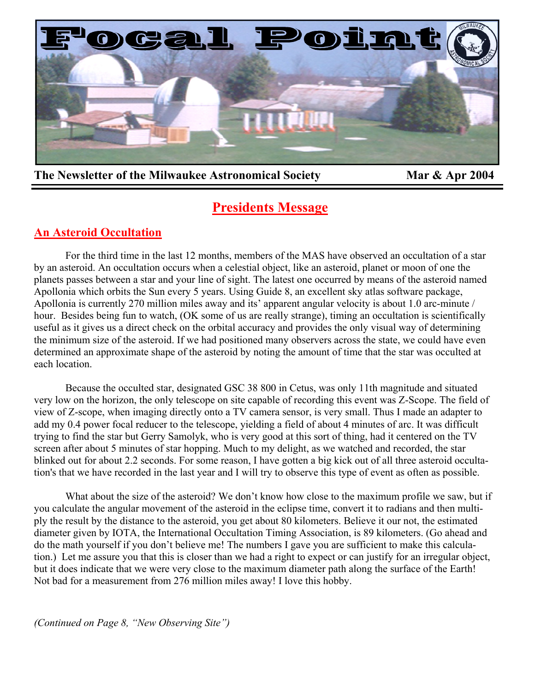

The Newsletter of the Milwaukee Astronomical Society Mar & Apr 2004

# **Presidents Message**

# **An Asteroid Occultation**

For the third time in the last 12 months, members of the MAS have observed an occultation of a star by an asteroid. An occultation occurs when a celestial object, like an asteroid, planet or moon of one the planets passes between a star and your line of sight. The latest one occurred by means of the asteroid named Apollonia which orbits the Sun every 5 years. Using Guide 8, an excellent sky atlas software package, Apollonia is currently 270 million miles away and its' apparent angular velocity is about 1.0 arc-minute / hour. Besides being fun to watch, (OK some of us are really strange), timing an occultation is scientifically useful as it gives us a direct check on the orbital accuracy and provides the only visual way of determining the minimum size of the asteroid. If we had positioned many observers across the state, we could have even determined an approximate shape of the asteroid by noting the amount of time that the star was occulted at each location.

 Because the occulted star, designated GSC 38 800 in Cetus, was only 11th magnitude and situated very low on the horizon, the only telescope on site capable of recording this event was Z-Scope. The field of view of Z-scope, when imaging directly onto a TV camera sensor, is very small. Thus I made an adapter to add my 0.4 power focal reducer to the telescope, yielding a field of about 4 minutes of arc. It was difficult trying to find the star but Gerry Samolyk, who is very good at this sort of thing, had it centered on the TV screen after about 5 minutes of star hopping. Much to my delight, as we watched and recorded, the star blinked out for about 2.2 seconds. For some reason, I have gotten a big kick out of all three asteroid occultation's that we have recorded in the last year and I will try to observe this type of event as often as possible.

What about the size of the asteroid? We don't know how close to the maximum profile we saw, but if you calculate the angular movement of the asteroid in the eclipse time, convert it to radians and then multiply the result by the distance to the asteroid, you get about 80 kilometers. Believe it our not, the estimated diameter given by IOTA, the International Occultation Timing Association, is 89 kilometers. (Go ahead and do the math yourself if you don't believe me! The numbers I gave you are sufficient to make this calculation.) Let me assure you that this is closer than we had a right to expect or can justify for an irregular object, but it does indicate that we were very close to the maximum diameter path along the surface of the Earth! Not bad for a measurement from 276 million miles away! I love this hobby.

*(Continued on Page 8, "New Observing Site")*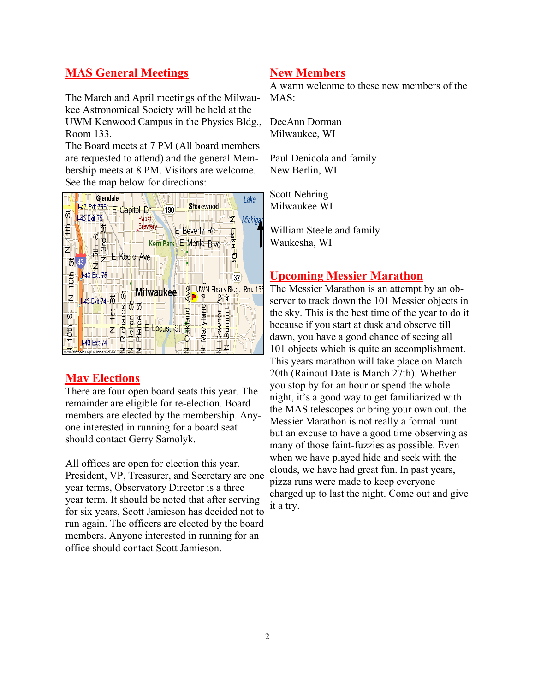# **MAS General Meetings**

The March and April meetings of the Milwaukee Astronomical Society will be held at the UWM Kenwood Campus in the Physics Bldg., Room 133.

The Board meets at 7 PM (All board members are requested to attend) and the general Membership meets at 8 PM. Visitors are welcome. See the map below for directions:



## **May Elections**

There are four open board seats this year. The remainder are eligible for re-election. Board members are elected by the membership. Anyone interested in running for a board seat should contact Gerry Samolyk.

All offices are open for election this year. President, VP, Treasurer, and Secretary are one year terms, Observatory Director is a three year term. It should be noted that after serving for six years, Scott Jamieson has decided not to run again. The officers are elected by the board members. Anyone interested in running for an office should contact Scott Jamieson.

#### **New Members**

A warm welcome to these new members of the  $MAS$ 

DeeAnn Dorman Milwaukee, WI

Paul Denicola and family New Berlin, WI

Scott Nehring Milwaukee WI

William Steele and family Waukesha, WI

### **Upcoming Messier Marathon**

The Messier Marathon is an attempt by an observer to track down the 101 Messier objects in the sky. This is the best time of the year to do it because if you start at dusk and observe till dawn, you have a good chance of seeing all 101 objects which is quite an accomplishment. This years marathon will take place on March 20th (Rainout Date is March 27th). Whether you stop by for an hour or spend the whole night, it's a good way to get familiarized with the MAS telescopes or bring your own out. the Messier Marathon is not really a formal hunt but an excuse to have a good time observing as many of those faint-fuzzies as possible. Even when we have played hide and seek with the clouds, we have had great fun. In past years, pizza runs were made to keep everyone charged up to last the night. Come out and give it a try.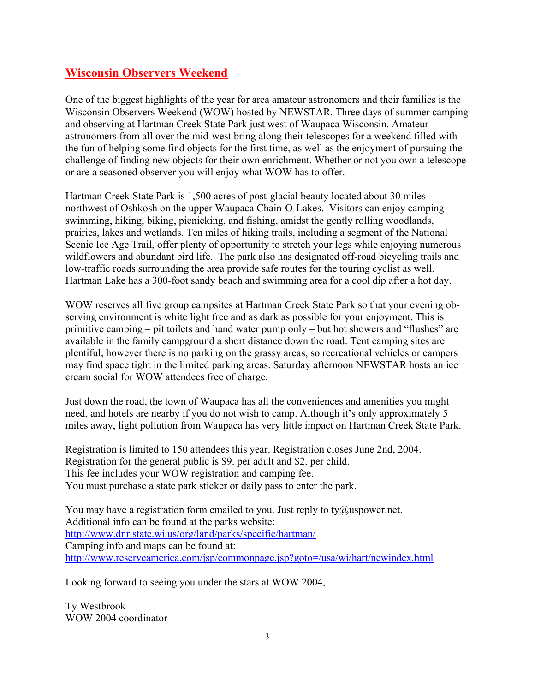# **Wisconsin Observers Weekend**

One of the biggest highlights of the year for area amateur astronomers and their families is the Wisconsin Observers Weekend (WOW) hosted by NEWSTAR. Three days of summer camping and observing at Hartman Creek State Park just west of Waupaca Wisconsin. Amateur astronomers from all over the mid-west bring along their telescopes for a weekend filled with the fun of helping some find objects for the first time, as well as the enjoyment of pursuing the challenge of finding new objects for their own enrichment. Whether or not you own a telescope or are a seasoned observer you will enjoy what WOW has to offer.

Hartman Creek State Park is 1,500 acres of post-glacial beauty located about 30 miles northwest of Oshkosh on the upper Waupaca Chain-O-Lakes. Visitors can enjoy camping swimming, hiking, biking, picnicking, and fishing, amidst the gently rolling woodlands, prairies, lakes and wetlands. Ten miles of hiking trails, including a segment of the National Scenic Ice Age Trail, offer plenty of opportunity to stretch your legs while enjoying numerous wildflowers and abundant bird life. The park also has designated off-road bicycling trails and low-traffic roads surrounding the area provide safe routes for the touring cyclist as well. Hartman Lake has a 300-foot sandy beach and swimming area for a cool dip after a hot day.

WOW reserves all five group campsites at Hartman Creek State Park so that your evening observing environment is white light free and as dark as possible for your enjoyment. This is primitive camping – pit toilets and hand water pump only – but hot showers and "flushes" are available in the family campground a short distance down the road. Tent camping sites are plentiful, however there is no parking on the grassy areas, so recreational vehicles or campers may find space tight in the limited parking areas. Saturday afternoon NEWSTAR hosts an ice cream social for WOW attendees free of charge.

Just down the road, the town of Waupaca has all the conveniences and amenities you might need, and hotels are nearby if you do not wish to camp. Although it's only approximately 5 miles away, light pollution from Waupaca has very little impact on Hartman Creek State Park.

Registration is limited to 150 attendees this year. Registration closes June 2nd, 2004. Registration for the general public is \$9. per adult and \$2. per child. This fee includes your WOW registration and camping fee. You must purchase a state park sticker or daily pass to enter the park.

You may have a registration form emailed to you. Just reply to ty@uspower.net. Additional info can be found at the parks website: http://www.dnr.state.wi.us/org/land/parks/specific/hartman/ Camping info and maps can be found at: http://www.reserveamerica.com/jsp/commonpage.jsp?goto=/usa/wi/hart/newindex.html

Looking forward to seeing you under the stars at WOW 2004,

Ty Westbrook WOW 2004 coordinator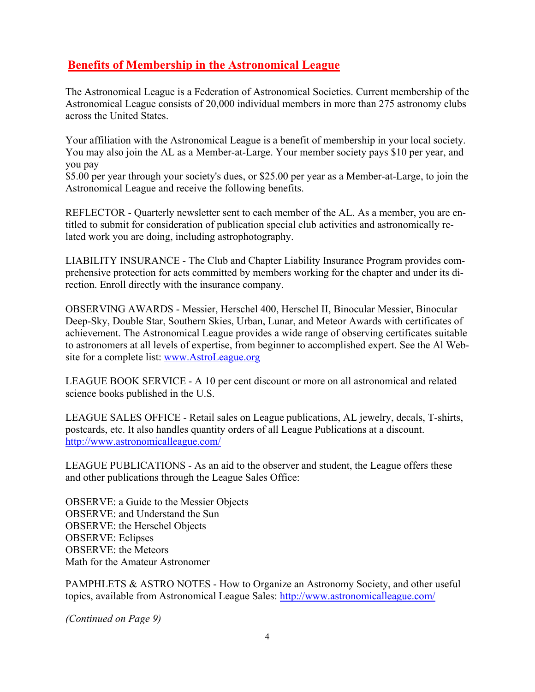# **Benefits of Membership in the Astronomical League**

The Astronomical League is a Federation of Astronomical Societies. Current membership of the Astronomical League consists of 20,000 individual members in more than 275 astronomy clubs across the United States.

Your affiliation with the Astronomical League is a benefit of membership in your local society. You may also join the AL as a Member-at-Large. Your member society pays \$10 per year, and you pay

\$5.00 per year through your society's dues, or \$25.00 per year as a Member-at-Large, to join the Astronomical League and receive the following benefits.

REFLECTOR - Quarterly newsletter sent to each member of the AL. As a member, you are entitled to submit for consideration of publication special club activities and astronomically related work you are doing, including astrophotography.

LIABILITY INSURANCE - The Club and Chapter Liability Insurance Program provides comprehensive protection for acts committed by members working for the chapter and under its direction. Enroll directly with the insurance company.

achievement. The Astronomical League provides a wide range of observing certificates suitable I have used a variable used a variable processes of values of  $\epsilon$  and  $\epsilon$  and  $\epsilon$  and  $\epsilon$  and  $\epsilon$  and  $\epsilon$  and  $\epsilon$  and  $\epsilon$  and  $\epsilon$  and  $\epsilon$  and  $\epsilon$  and  $\epsilon$  and  $\epsilon$  and  $\epsilon$  and  $\epsilon$  and  $\epsilon$  and  $\epsilon$  and  $\epsilon$  a to astronomers at all levels of expertise, from beginner to accomplished expert. See the Al Web-OBSERVING AWARDS - Messier, Herschel 400, Herschel II, Binocular Messier, Binocular Deep-Sky, Double Star, Southern Skies, Urban, Lunar, and Meteor Awards with certificates of site for a complete list: www.AstroLeague.org

LEAGUE BOOK SERVICE - A 10 per cent discount or more on all astronomical and related science books published in the U.S.

LEAGUE SALES OFFICE - Retail sales on League publications, AL jewelry, decals, T-shirts, postcards, etc. It also handles quantity orders of all League Publications at a discount. http://www.astronomicalleague.com/

LEAGUE PUBLICATIONS - As an aid to the observer and student, the League offers these and other publications through the League Sales Office:

OBSERVE: a Guide to the Messier Objects OBSERVE: and Understand the Sun OBSERVE: the Herschel Objects OBSERVE: Eclipses OBSERVE: the Meteors Math for the Amateur Astronomer

PAMPHLETS & ASTRO NOTES - How to Organize an Astronomy Society, and other useful topics, available from Astronomical League Sales: http://www.astronomicalleague.com/

*(Continued on Page 9)*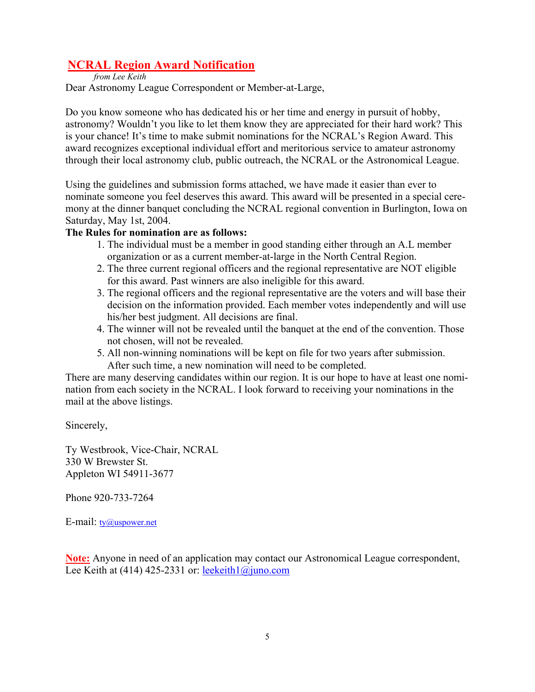# **NCRAL Region Award Notification**

*from Lee Keith*

Dear Astronomy League Correspondent or Member-at-Large,

Do you know someone who has dedicated his or her time and energy in pursuit of hobby, astronomy? Wouldn't you like to let them know they are appreciated for their hard work? This is your chance! It's time to make submit nominations for the NCRAL's Region Award. This award recognizes exceptional individual effort and meritorious service to amateur astronomy through their local astronomy club, public outreach, the NCRAL or the Astronomical League.

Using the guidelines and submission forms attached, we have made it easier than ever to nominate someone you feel deserves this award. This award will be presented in a special ceremony at the dinner banquet concluding the NCRAL regional convention in Burlington, Iowa on Saturday, May 1st, 2004.

# **The Rules for nomination are as follows:**

- 1. The individual must be a member in good standing either through an A.L member organization or as a current member-at-large in the North Central Region.
- 2. The three current regional officers and the regional representative are NOT eligible for this award. Past winners are also ineligible for this award.
- 3. The regional officers and the regional representative are the voters and will base their decision on the information provided. Each member votes independently and will use his/her best judgment. All decisions are final.
- 4. The winner will not be revealed until the banquet at the end of the convention. Those not chosen, will not be revealed.
- 5. All non-winning nominations will be kept on file for two years after submission. After such time, a new nomination will need to be completed.

There are many deserving candidates within our region. It is our hope to have at least one nomination from each society in the NCRAL. I look forward to receiving your nominations in the mail at the above listings.

Sincerely,

Ty Westbrook, Vice-Chair, NCRAL 330 W Brewster St. Appleton WI 54911-3677

Phone 920-733-7264

E-mail:  $tv@uspower.net$ </u>

**Note:** Anyone in need of an application may contact our Astronomical League correspondent, Lee Keith at (414) 425-2331 or: leekeith $1$ @juno.com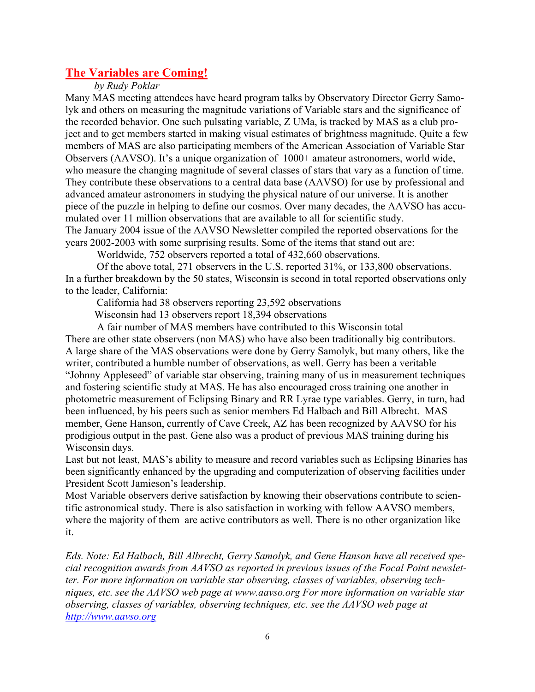# **The Variables are Coming!**

*by Rudy Poklar*

Many MAS meeting attendees have heard program talks by Observatory Director Gerry Samolyk and others on measuring the magnitude variations of Variable stars and the significance of the recorded behavior. One such pulsating variable, Z UMa, is tracked by MAS as a club project and to get members started in making visual estimates of brightness magnitude. Quite a few members of MAS are also participating members of the American Association of Variable Star Observers (AAVSO). It's a unique organization of 1000+ amateur astronomers, world wide, who measure the changing magnitude of several classes of stars that vary as a function of time. They contribute these observations to a central data base (AAVSO) for use by professional and advanced amateur astronomers in studying the physical nature of our universe. It is another piece of the puzzle in helping to define our cosmos. Over many decades, the AAVSO has accumulated over 11 million observations that are available to all for scientific study. The January 2004 issue of the AAVSO Newsletter compiled the reported observations for the years 2002-2003 with some surprising results. Some of the items that stand out are:

Worldwide, 752 observers reported a total of 432,660 observations.

 Of the above total, 271 observers in the U.S. reported 31%, or 133,800 observations. In a further breakdown by the 50 states, Wisconsin is second in total reported observations only to the leader, California:

California had 38 observers reporting 23,592 observations

Wisconsin had 13 observers report 18,394 observations

A fair number of MAS members have contributed to this Wisconsin total

There are other state observers (non MAS) who have also been traditionally big contributors. A large share of the MAS observations were done by Gerry Samolyk, but many others, like the writer, contributed a humble number of observations, as well. Gerry has been a veritable "Johnny Appleseed" of variable star observing, training many of us in measurement techniques and fostering scientific study at MAS. He has also encouraged cross training one another in photometric measurement of Eclipsing Binary and RR Lyrae type variables. Gerry, in turn, had been influenced, by his peers such as senior members Ed Halbach and Bill Albrecht. MAS member, Gene Hanson, currently of Cave Creek, AZ has been recognized by AAVSO for his prodigious output in the past. Gene also was a product of previous MAS training during his Wisconsin days.

Last but not least, MAS's ability to measure and record variables such as Eclipsing Binaries has been significantly enhanced by the upgrading and computerization of observing facilities under President Scott Jamieson's leadership.

Most Variable observers derive satisfaction by knowing their observations contribute to scientific astronomical study. There is also satisfaction in working with fellow AAVSO members, where the majority of them are active contributors as well. There is no other organization like it.

*Eds. Note: Ed Halbach, Bill Albrecht, Gerry Samolyk, and Gene Hanson have all received special recognition awards from AAVSO as reported in previous issues of the Focal Point newsletter. For more information on variable star observing, classes of variables, observing techniques, etc. see the AAVSO web page at www.aavso.org For more information on variable star observing, classes of variables, observing techniques, etc. see the AAVSO web page at http://www.aavso.org*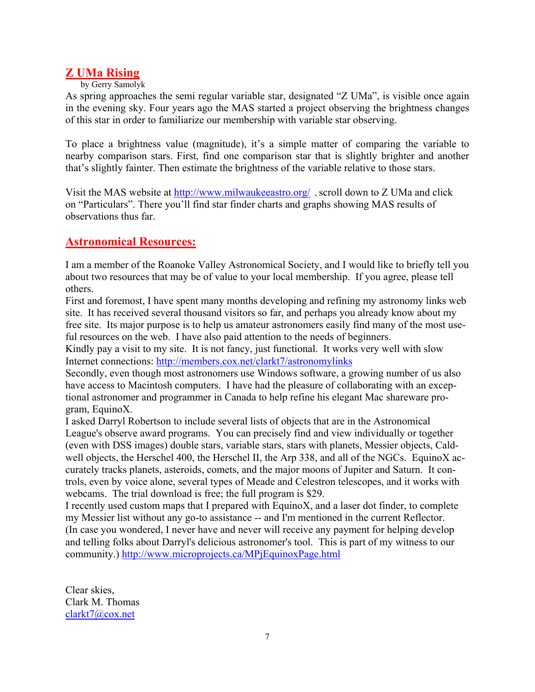# **Z UMa Rising**

#### by Gerry Samolyk

As spring approaches the semi regular variable star, designated "Z UMa", is visible once again in the evening sky. Four years ago the MAS started a project observing the brightness changes of this star in order to familiarize our membership with variable star observing.

To place a brightness value (magnitude), it's a simple matter of comparing the variable to nearby comparison stars. First, find one comparison star that is slightly brighter and another that's slightly fainter. Then estimate the brightness of the variable relative to those stars.

Visit the MAS website at http://www.milwaukeeastro.org/ , scroll down to Z UMa and click on "Particulars". There you'll find star finder charts and graphs showing MAS results of observations thus far.

# **Astronomical Resources:**

I am a member of the Roanoke Valley Astronomical Society, and I would like to briefly tell you about two resources that may be of value to your local membership. If you agree, please tell others.

First and foremost, I have spent many months developing and refining my astronomy links web site. It has received several thousand visitors so far, and perhaps you already know about my free site. Its major purpose is to help us amateur astronomers easily find many of the most useful resources on the web. I have also paid attention to the needs of beginners.

Kindly pay a visit to my site. It is not fancy, just functional. It works very well with slow Internet connections: http://members.cox.net/clarkt7/astronomylinks

Secondly, even though most astronomers use Windows software, a growing number of us also have access to Macintosh computers. I have had the pleasure of collaborating with an exceptional astronomer and programmer in Canada to help refine his elegant Mac shareware program, EquinoX.

I asked Darryl Robertson to include several lists of objects that are in the Astronomical League's observe award programs. You can precisely find and view individually or together (even with DSS images) double stars, variable stars, stars with planets, Messier objects, Caldwell objects, the Herschel 400, the Herschel II, the Arp 338, and all of the NGCs. EquinoX accurately tracks planets, asteroids, comets, and the major moons of Jupiter and Saturn. It controls, even by voice alone, several types of Meade and Celestron telescopes, and it works with webcams. The trial download is free; the full program is \$29.

I recently used custom maps that I prepared with EquinoX, and a laser dot finder, to complete my Messier list without any go-to assistance -- and I'm mentioned in the current Reflector. (In case you wondered, I never have and never will receive any payment for helping develop and telling folks about Darryl's delicious astronomer's tool. This is part of my witness to our community.) http://www.microprojects.ca/MPjEquinoxPage.html

Clear skies, Clark M. Thomas clarkt7@cox.net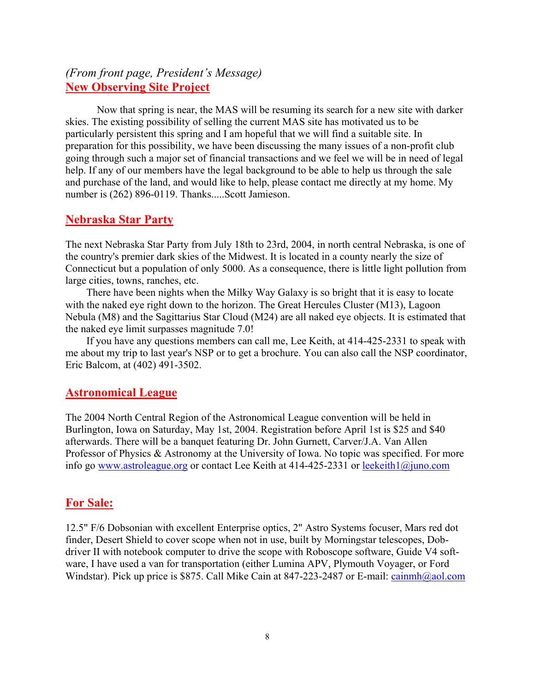# *(From front page, President's Message)*  **New Observing Site Project**

Now that spring is near, the MAS will be resuming its search for a new site with darker skies. The existing possibility of selling the current MAS site has motivated us to be particularly persistent this spring and I am hopeful that we will find a suitable site. In preparation for this possibility, we have been discussing the many issues of a non-profit club going through such a major set of financial transactions and we feel we will be in need of legal help. If any of our members have the legal background to be able to help us through the sale and purchase of the land, and would like to help, please contact me directly at my home. My number is (262) 896-0119. Thanks.....Scott Jamieson.

# **Nebraska Star Party**

The next Nebraska Star Party from July 18th to 23rd, 2004, in north central Nebraska, is one of the country's premier dark skies of the Midwest. It is located in a county nearly the size of Connecticut but a population of only 5000. As a consequence, there is little light pollution from large cities, towns, ranches, etc.

 There have been nights when the Milky Way Galaxy is so bright that it is easy to locate with the naked eye right down to the horizon. The Great Hercules Cluster (M13), Lagoon Nebula (M8) and the Sagittarius Star Cloud (M24) are all naked eye objects. It is estimated that the naked eye limit surpasses magnitude 7.0!

 If you have any questions members can call me, Lee Keith, at 414-425-2331 to speak with me about my trip to last year's NSP or to get a brochure. You can also call the NSP coordinator, Eric Balcom, at (402) 491-3502.

## **Astronomical League**

The 2004 North Central Region of the Astronomical League convention will be held in Burlington, Iowa on Saturday, May 1st, 2004. Registration before April 1st is \$25 and \$40 afterwards. There will be a banquet featuring Dr. John Gurnett, Carver/J.A. Van Allen Professor of Physics & Astronomy at the University of Iowa. No topic was specified. For more info go www.astroleague.org or contact Lee Keith at 414-425-2331 or leekeith1@juno.com

## **For Sale:**

12.5" F/6 Dobsonian with excellent Enterprise optics, 2" Astro Systems focuser, Mars red dot finder, Desert Shield to cover scope when not in use, built by Morningstar telescopes, Dobdriver II with notebook computer to drive the scope with Roboscope software, Guide V4 software, I have used a van for transportation (either Lumina APV, Plymouth Voyager, or Ford Windstar). Pick up price is \$875. Call Mike Cain at 847-223-2487 or E-mail: cainmh@aol.com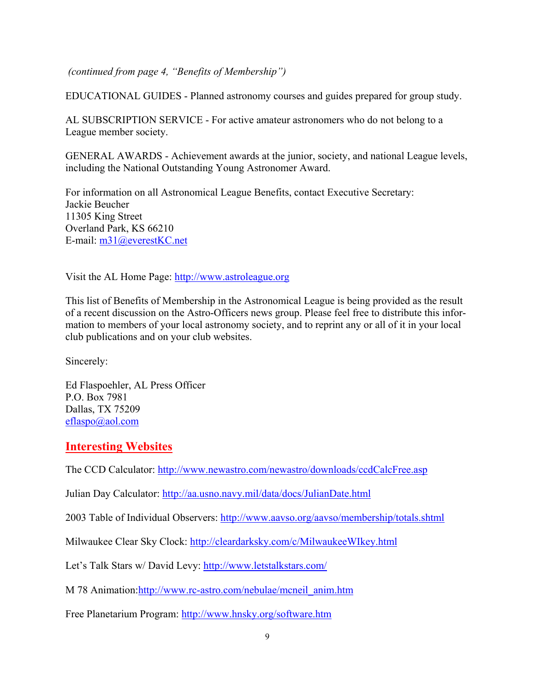*(continued from page 4, "Benefits of Membership")* 

EDUCATIONAL GUIDES - Planned astronomy courses and guides prepared for group study.

AL SUBSCRIPTION SERVICE - For active amateur astronomers who do not belong to a League member society.

GENERAL AWARDS - Achievement awards at the junior, society, and national League levels, including the National Outstanding Young Astronomer Award.

For information on all Astronomical League Benefits, contact Executive Secretary: Jackie Beucher 11305 King Street Overland Park, KS 66210 E-mail: m31@everestKC.net

Visit the AL Home Page: http://www.astroleague.org

This list of Benefits of Membership in the Astronomical League is being provided as the result of a recent discussion on the Astro-Officers news group. Please feel free to distribute this information to members of your local astronomy society, and to reprint any or all of it in your local club publications and on your club websites.

Sincerely:

Ed Flaspoehler, AL Press Officer P.O. Box 7981 Dallas, TX 75209 eflaspo@aol.com

# **Interesting Websites**

The CCD Calculator: http://www.newastro.com/newastro/downloads/ccdCalcFree.asp

Julian Day Calculator: http://aa.usno.navy.mil/data/docs/JulianDate.html

2003 Table of Individual Observers: http://www.aavso.org/aavso/membership/totals.shtml

Milwaukee Clear Sky Clock: http://cleardarksky.com/c/MilwaukeeWIkey.html

Let's Talk Stars w/ David Levy: http://www.letstalkstars.com/

M 78 Animation:http://www.rc-astro.com/nebulae/mcneil\_anim.htm

Free Planetarium Program: http://www.hnsky.org/software.htm